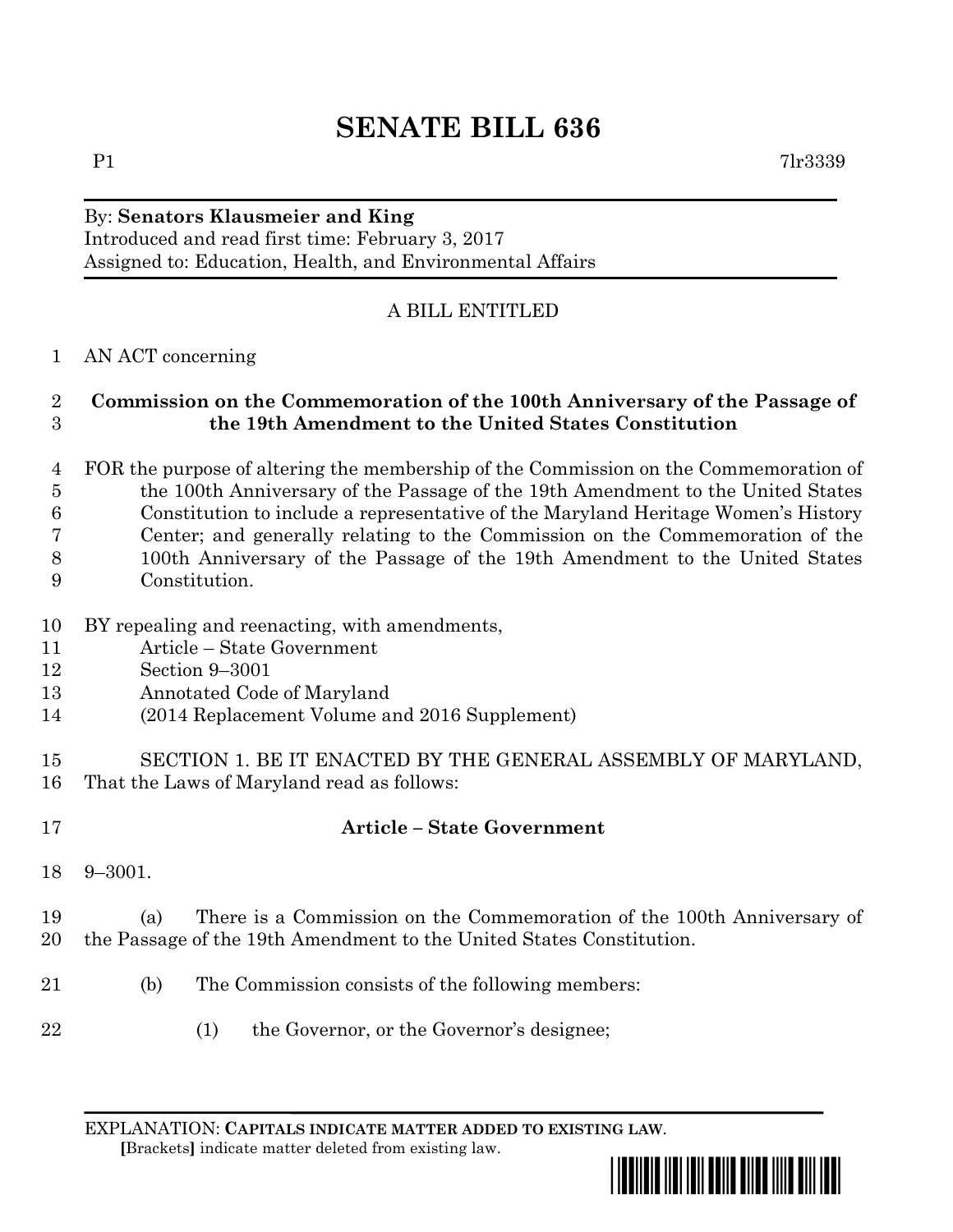# **SENATE BILL 636**

# By: **Senators Klausmeier and King**

Introduced and read first time: February 3, 2017 Assigned to: Education, Health, and Environmental Affairs

### A BILL ENTITLED

### AN ACT concerning

#### **Commission on the Commemoration of the 100th Anniversary of the Passage of the 19th Amendment to the United States Constitution**

- FOR the purpose of altering the membership of the Commission on the Commemoration of the 100th Anniversary of the Passage of the 19th Amendment to the United States Constitution to include a representative of the Maryland Heritage Women's History Center; and generally relating to the Commission on the Commemoration of the 100th Anniversary of the Passage of the 19th Amendment to the United States
- Constitution.
- BY repealing and reenacting, with amendments,
- Article State Government
- Section 9–3001
- Annotated Code of Maryland
- (2014 Replacement Volume and 2016 Supplement)
- SECTION 1. BE IT ENACTED BY THE GENERAL ASSEMBLY OF MARYLAND, That the Laws of Maryland read as follows:
- 

## **Article – State Government**

9–3001.

### (a) There is a Commission on the Commemoration of the 100th Anniversary of the Passage of the 19th Amendment to the United States Constitution.

- (b) The Commission consists of the following members:
- 22 (1) the Governor, or the Governor's designee;

EXPLANATION: **CAPITALS INDICATE MATTER ADDED TO EXISTING LAW**.  **[**Brackets**]** indicate matter deleted from existing law.

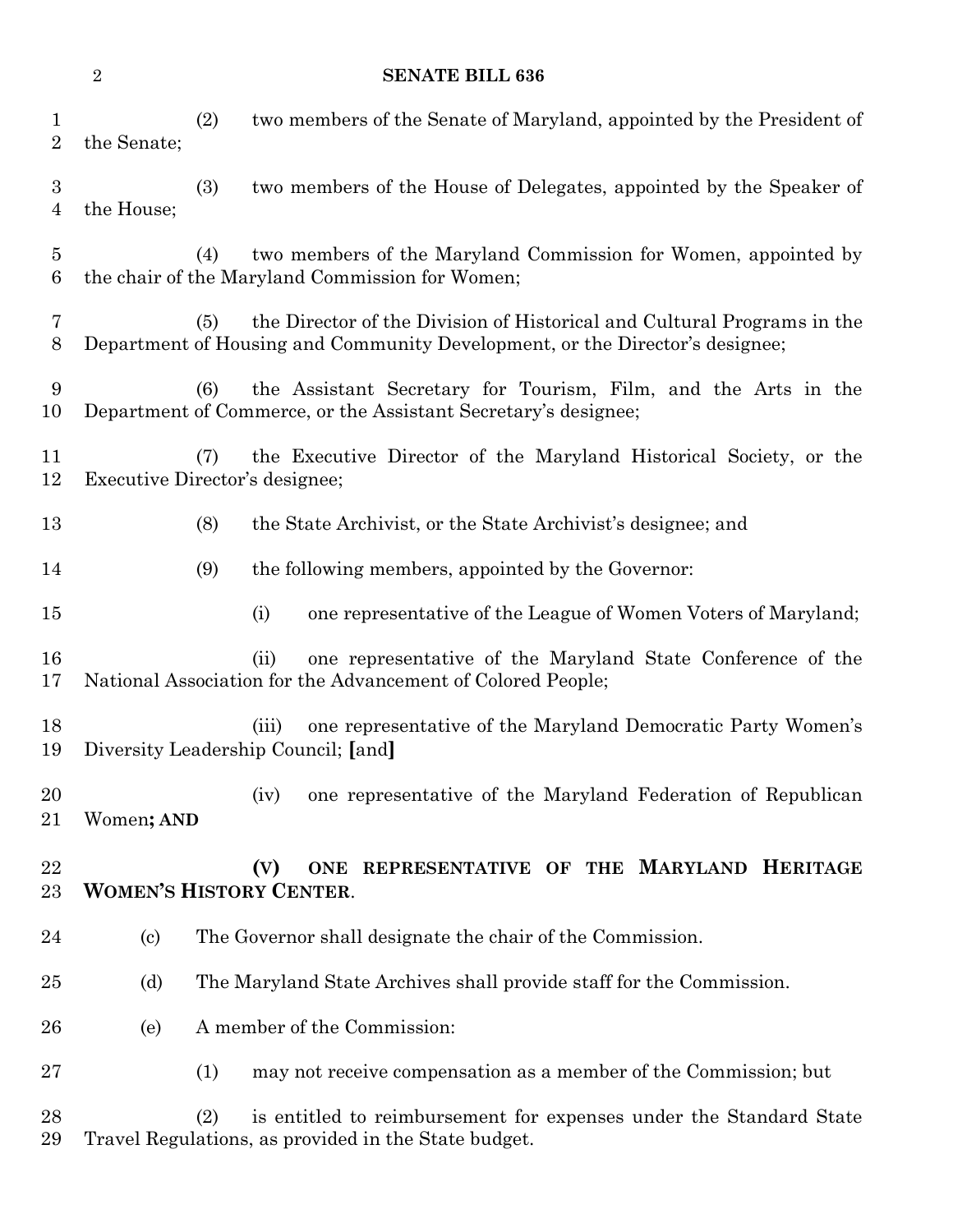|                                    | $\overline{2}$                                                                                 | <b>SENATE BILL 636</b>                                                                                                                                         |
|------------------------------------|------------------------------------------------------------------------------------------------|----------------------------------------------------------------------------------------------------------------------------------------------------------------|
| $\mathbf{1}$<br>$\overline{2}$     | the Senate;                                                                                    | (2)<br>two members of the Senate of Maryland, appointed by the President of                                                                                    |
| $\boldsymbol{3}$<br>$\overline{4}$ | the House;                                                                                     | (3)<br>two members of the House of Delegates, appointed by the Speaker of                                                                                      |
| $\overline{5}$<br>6                |                                                                                                | two members of the Maryland Commission for Women, appointed by<br>(4)<br>the chair of the Maryland Commission for Women;                                       |
| 7<br>8                             |                                                                                                | the Director of the Division of Historical and Cultural Programs in the<br>(5)<br>Department of Housing and Community Development, or the Director's designee; |
| 9<br>10                            |                                                                                                | the Assistant Secretary for Tourism, Film, and the Arts in the<br>(6)<br>Department of Commerce, or the Assistant Secretary's designee;                        |
| 11<br>12                           |                                                                                                | the Executive Director of the Maryland Historical Society, or the<br>(7)<br>Executive Director's designee;                                                     |
| 13                                 |                                                                                                | (8)<br>the State Archivist, or the State Archivist's designee; and                                                                                             |
| 14                                 |                                                                                                | (9)<br>the following members, appointed by the Governor:                                                                                                       |
| 15                                 |                                                                                                | one representative of the League of Women Voters of Maryland;<br>(i)                                                                                           |
| 16<br>17                           |                                                                                                | one representative of the Maryland State Conference of the<br>(ii)<br>National Association for the Advancement of Colored People;                              |
| 18<br>19                           |                                                                                                | one representative of the Maryland Democratic Party Women's<br>(iii)<br>Diversity Leadership Council; [and]                                                    |
| 20<br>21                           | Women; AND                                                                                     | one representative of the Maryland Federation of Republican<br>(iv)                                                                                            |
| 22<br>23                           | REPRESENTATIVE OF THE MARYLAND HERITAGE<br>(V)<br><b>ONE</b><br><b>WOMEN'S HISTORY CENTER.</b> |                                                                                                                                                                |
| 24                                 | $\left( \mathrm{c}\right)$                                                                     | The Governor shall designate the chair of the Commission.                                                                                                      |
| $25\,$                             | (d)                                                                                            | The Maryland State Archives shall provide staff for the Commission.                                                                                            |
| 26                                 | (e)                                                                                            | A member of the Commission:                                                                                                                                    |
| $27\,$                             |                                                                                                | (1)<br>may not receive compensation as a member of the Commission; but                                                                                         |
| 28<br>29                           |                                                                                                | (2)<br>is entitled to reimbursement for expenses under the Standard State<br>Travel Regulations, as provided in the State budget.                              |